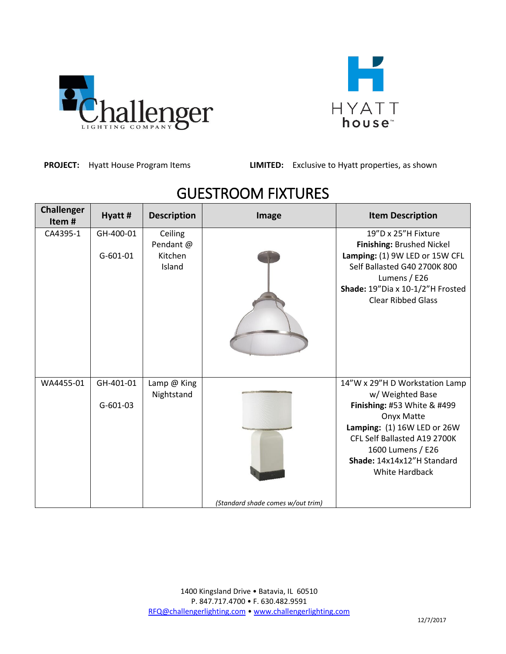



**PROJECT:** Hyatt House Program Items **LIMITED:** Exclusive to Hyatt properties, as shown

| <b>Challenger</b><br>Item# | Hyatt #                 | <b>Description</b>                        | Image                             | <b>Item Description</b>                                                                                                                                                                                                             |
|----------------------------|-------------------------|-------------------------------------------|-----------------------------------|-------------------------------------------------------------------------------------------------------------------------------------------------------------------------------------------------------------------------------------|
| CA4395-1                   | GH-400-01<br>$G-601-01$ | Ceiling<br>Pendant @<br>Kitchen<br>Island |                                   | 19"D x 25"H Fixture<br>Finishing: Brushed Nickel<br>Lamping: (1) 9W LED or 15W CFL<br>Self Ballasted G40 2700K 800<br>Lumens / E26<br>Shade: 19"Dia x 10-1/2"H Frosted<br><b>Clear Ribbed Glass</b>                                 |
| WA4455-01                  | GH-401-01<br>$G-601-03$ | Lamp @ King<br>Nightstand                 | (Standard shade comes w/out trim) | 14"W x 29"H D Workstation Lamp<br>w/ Weighted Base<br>Finishing: #53 White & #499<br>Onyx Matte<br>Lamping: (1) 16W LED or 26W<br>CFL Self Ballasted A19 2700K<br>1600 Lumens / E26<br>Shade: 14x14x12"H Standard<br>White Hardback |

## GUESTROOM FIXTURES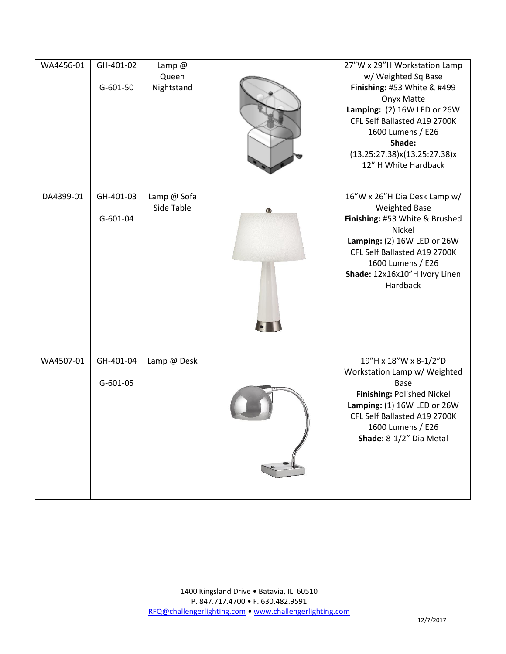| WA4456-01 | GH-401-02<br>$G-601-50$ | Lamp $@$<br>Queen<br>Nightstand |           | 27"W x 29"H Workstation Lamp<br>w/ Weighted Sq Base<br>Finishing: #53 White & #499<br><b>Onyx Matte</b><br>Lamping: (2) 16W LED or 26W<br>CFL Self Ballasted A19 2700K<br>1600 Lumens / E26<br>Shade:<br>(13.25:27.38)x(13.25:27.38)x<br>12" H White Hardback |
|-----------|-------------------------|---------------------------------|-----------|---------------------------------------------------------------------------------------------------------------------------------------------------------------------------------------------------------------------------------------------------------------|
| DA4399-01 | GH-401-03<br>G-601-04   | Lamp @ Sofa<br>Side Table       | $\bullet$ | 16"W x 26"H Dia Desk Lamp w/<br><b>Weighted Base</b><br>Finishing: #53 White & Brushed<br>Nickel<br>Lamping: (2) 16W LED or 26W<br>CFL Self Ballasted A19 2700K<br>1600 Lumens / E26<br>Shade: 12x16x10"H Ivory Linen<br>Hardback                             |
| WA4507-01 | GH-401-04<br>$G-601-05$ | Lamp @ Desk                     |           | 19"H x 18"W x 8-1/2"D<br>Workstation Lamp w/ Weighted<br><b>Base</b><br>Finishing: Polished Nickel<br>Lamping: (1) 16W LED or 26W<br>CFL Self Ballasted A19 2700K<br>1600 Lumens / E26<br>Shade: 8-1/2" Dia Metal                                             |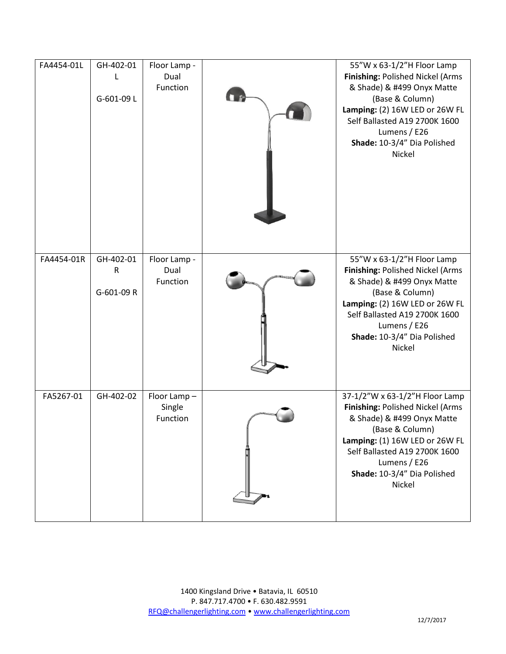| FA4454-01L | GH-402-01<br>L<br>G-601-09L            | Floor Lamp -<br>Dual<br>Function  | 55"W x 63-1/2"H Floor Lamp<br>Finishing: Polished Nickel (Arms<br>& Shade) & #499 Onyx Matte<br>(Base & Column)<br>Lamping: (2) 16W LED or 26W FL<br>Self Ballasted A19 2700K 1600<br>Lumens / E26<br>Shade: 10-3/4" Dia Polished<br>Nickel     |
|------------|----------------------------------------|-----------------------------------|-------------------------------------------------------------------------------------------------------------------------------------------------------------------------------------------------------------------------------------------------|
| FA4454-01R | GH-402-01<br>$\mathsf R$<br>G-601-09 R | Floor Lamp -<br>Dual<br>Function  | 55"W x 63-1/2"H Floor Lamp<br>Finishing: Polished Nickel (Arms<br>& Shade) & #499 Onyx Matte<br>(Base & Column)<br>Lamping: (2) 16W LED or 26W FL<br>Self Ballasted A19 2700K 1600<br>Lumens / E26<br>Shade: 10-3/4" Dia Polished<br>Nickel     |
| FA5267-01  | GH-402-02                              | Floor Lamp-<br>Single<br>Function | 37-1/2"W x 63-1/2"H Floor Lamp<br>Finishing: Polished Nickel (Arms<br>& Shade) & #499 Onyx Matte<br>(Base & Column)<br>Lamping: (1) 16W LED or 26W FL<br>Self Ballasted A19 2700K 1600<br>Lumens / E26<br>Shade: 10-3/4" Dia Polished<br>Nickel |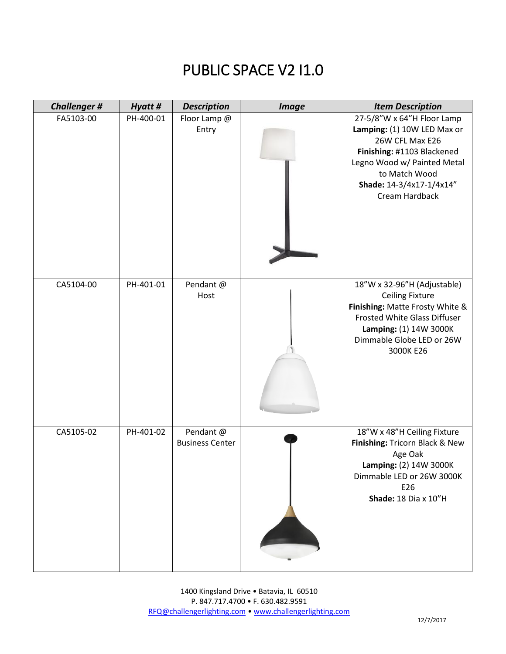## PUBLIC SPACE V2 I1.0

| <b>Challenger#</b> | Hyatt #   | <b>Description</b>                  | <b>Image</b> | <b>Item Description</b>                                                                                                                                                                                  |
|--------------------|-----------|-------------------------------------|--------------|----------------------------------------------------------------------------------------------------------------------------------------------------------------------------------------------------------|
| FA5103-00          | PH-400-01 | Floor Lamp @<br>Entry               |              | 27-5/8"W x 64"H Floor Lamp<br>Lamping: (1) 10W LED Max or<br>26W CFL Max E26<br>Finishing: #1103 Blackened<br>Legno Wood w/ Painted Metal<br>to Match Wood<br>Shade: 14-3/4x17-1/4x14"<br>Cream Hardback |
| CA5104-00          | PH-401-01 | Pendant @<br>Host                   |              | 18"W x 32-96"H (Adjustable)<br><b>Ceiling Fixture</b><br>Finishing: Matte Frosty White &<br>Frosted White Glass Diffuser<br>Lamping: (1) 14W 3000K<br>Dimmable Globe LED or 26W<br>3000K E26             |
| CA5105-02          | PH-401-02 | Pendant @<br><b>Business Center</b> |              | 18"W x 48"H Ceiling Fixture<br>Finishing: Tricorn Black & New<br>Age Oak<br>Lamping: (2) 14W 3000K<br>Dimmable LED or 26W 3000K<br>E26<br><b>Shade: 18 Dia x 10"H</b>                                    |